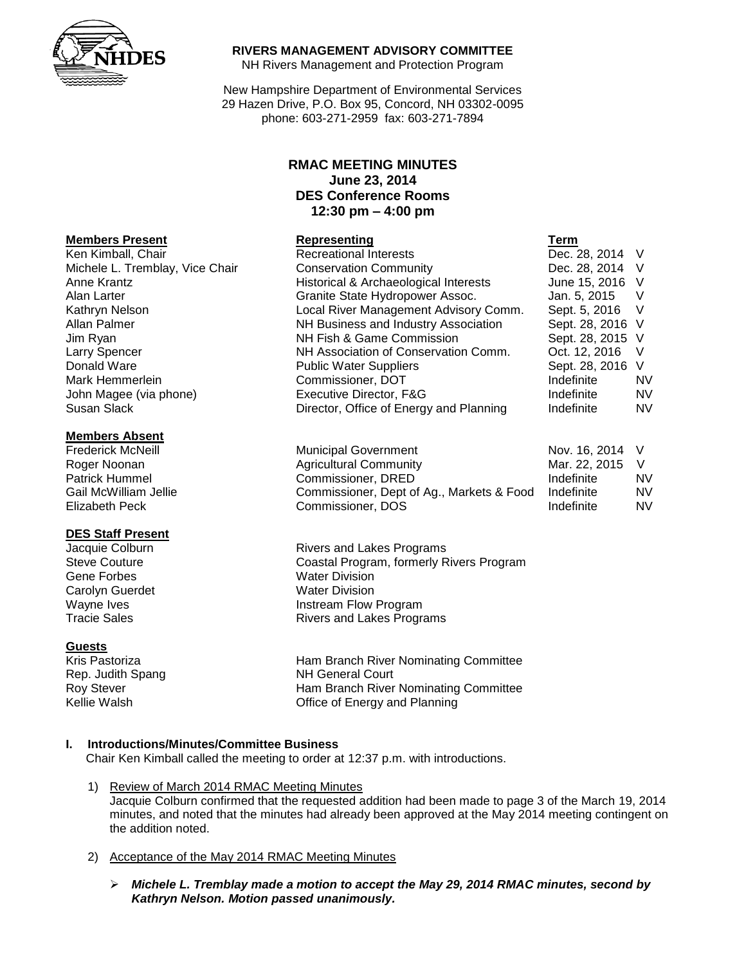

#### **RIVERS MANAGEMENT ADVISORY COMMITTEE**

NH Rivers Management and Protection Program

New Hampshire Department of Environmental Services 29 Hazen Drive, P.O. Box 95, Concord, NH 03302-0095 phone: 603-271-2959 fax: 603-271-7894

# **RMAC MEETING MINUTES June 23, 2014 DES Conference Rooms 12:30 pm – 4:00 pm**

| <b>Members Present</b>          | Representing                            | Term             |           |
|---------------------------------|-----------------------------------------|------------------|-----------|
| Ken Kimball, Chair              | <b>Recreational Interests</b>           | Dec. 28, 2014 V  |           |
| Michele L. Tremblay, Vice Chair | <b>Conservation Community</b>           | Dec. 28, 2014 V  |           |
| Anne Krantz                     | Historical & Archaeological Interests   | June 15, 2016 V  |           |
| Alan Larter                     | Granite State Hydropower Assoc.         | Jan. 5, 2015     | v         |
| Kathryn Nelson                  | Local River Management Advisory Comm.   | Sept. 5, 2016    |           |
| Allan Palmer                    | NH Business and Industry Association    | Sept. 28, 2016 V |           |
| Jim Ryan                        | NH Fish & Game Commission               | Sept. 28, 2015 V |           |
| Larry Spencer                   | NH Association of Conservation Comm.    | Oct. 12, 2016    | - V       |
| Donald Ware                     | <b>Public Water Suppliers</b>           | Sept. 28, 2016 V |           |
| Mark Hemmerlein                 | Commissioner, DOT                       | Indefinite       | <b>NV</b> |
| John Magee (via phone)          | Executive Director, F&G                 | Indefinite       | <b>NV</b> |
| Susan Slack                     | Director, Office of Energy and Planning | Indefinite       | <b>NV</b> |

| <b>Members Absent</b>    |                                           |                 |           |
|--------------------------|-------------------------------------------|-----------------|-----------|
| <b>Frederick McNeill</b> | <b>Municipal Government</b>               | Nov. 16, 2014 V |           |
| Roger Noonan             | <b>Agricultural Community</b>             | Mar. 22, 2015   |           |
| <b>Patrick Hummel</b>    | Commissioner, DRED                        | Indefinite      | <b>NV</b> |
| Gail McWilliam Jellie    | Commissioner, Dept of Ag., Markets & Food | Indefinite      | <b>NV</b> |
| Elizabeth Peck           | Commissioner, DOS                         | Indefinite      | <b>NV</b> |

Jacquie Colburn **Market Election Collection**<br>
Steve Couture **Rivers Contains Constal Program, formerly R** Coastal Program, formerly Rivers Program Wayne Ives **Instream Flow Program**<br>
Tracie Sales **Instrument Control Control Program**<br>
Rivers and Lakes Program Rivers and Lakes Programs

Kris Pastoriza Ham Branch River Nominating Committee Roy Stever Ham Branch River Nominating Committee Kellie Walsh **Communist Communist Communist Communist Communist Communist Communist Communist Communist Communist Communist Communist Communist Communist Communist Communist Communist Communist Communist Communist Communis** 

## **I. Introductions/Minutes/Committee Business**

Chair Ken Kimball called the meeting to order at 12:37 p.m. with introductions.

- 1) Review of March 2014 RMAC Meeting Minutes Jacquie Colburn confirmed that the requested addition had been made to page 3 of the March 19, 2014 minutes, and noted that the minutes had already been approved at the May 2014 meeting contingent on the addition noted.
- 2) Acceptance of the May 2014 RMAC Meeting Minutes
	- *Michele L. Tremblay made a motion to accept the May 29, 2014 RMAC minutes, second by Kathryn Nelson. Motion passed unanimously.*

#### **Members Absent**

#### **DES Staff Present**

Gene Forbes Water Division Carolyn Guerdet Water Division<br>
Wayne Ives **Mayne Ives** 

#### **Guests**

Rep. Judith Spang NH General Court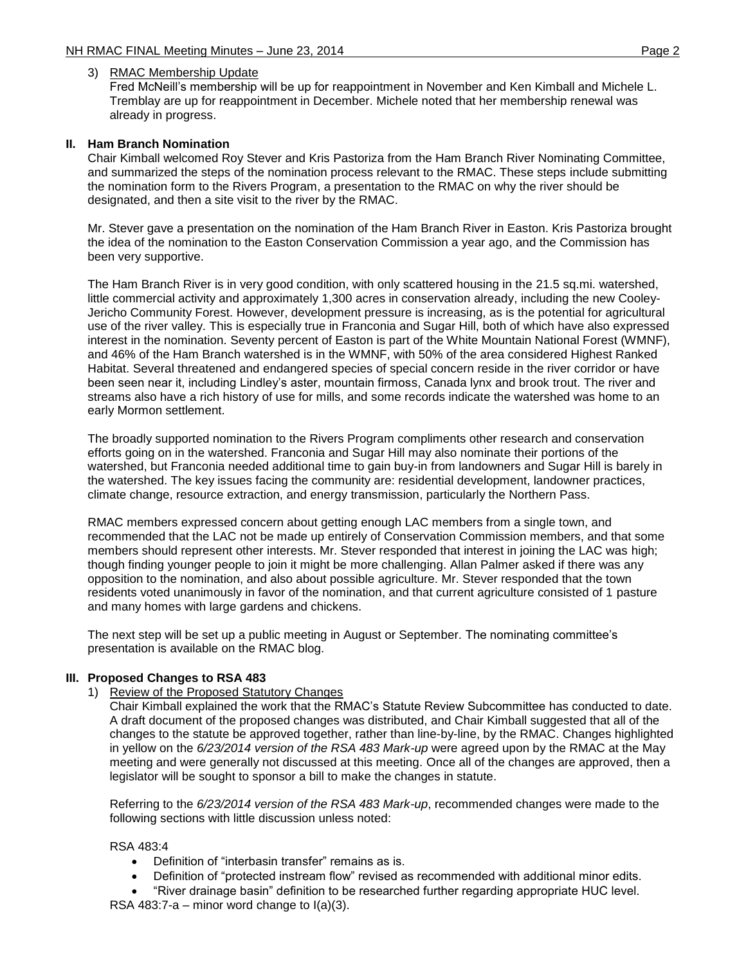### 3) RMAC Membership Update

Fred McNeill's membership will be up for reappointment in November and Ken Kimball and Michele L. Tremblay are up for reappointment in December. Michele noted that her membership renewal was already in progress.

### **II. Ham Branch Nomination**

Chair Kimball welcomed Roy Stever and Kris Pastoriza from the Ham Branch River Nominating Committee, and summarized the steps of the nomination process relevant to the RMAC. These steps include submitting the nomination form to the Rivers Program, a presentation to the RMAC on why the river should be designated, and then a site visit to the river by the RMAC.

Mr. Stever gave a presentation on the nomination of the Ham Branch River in Easton. Kris Pastoriza brought the idea of the nomination to the Easton Conservation Commission a year ago, and the Commission has been very supportive.

The Ham Branch River is in very good condition, with only scattered housing in the 21.5 sq.mi. watershed, little commercial activity and approximately 1,300 acres in conservation already, including the new Cooley-Jericho Community Forest. However, development pressure is increasing, as is the potential for agricultural use of the river valley. This is especially true in Franconia and Sugar Hill, both of which have also expressed interest in the nomination. Seventy percent of Easton is part of the White Mountain National Forest (WMNF), and 46% of the Ham Branch watershed is in the WMNF, with 50% of the area considered Highest Ranked Habitat. Several threatened and endangered species of special concern reside in the river corridor or have been seen near it, including Lindley's aster, mountain firmoss, Canada lynx and brook trout. The river and streams also have a rich history of use for mills, and some records indicate the watershed was home to an early Mormon settlement.

The broadly supported nomination to the Rivers Program compliments other research and conservation efforts going on in the watershed. Franconia and Sugar Hill may also nominate their portions of the watershed, but Franconia needed additional time to gain buy-in from landowners and Sugar Hill is barely in the watershed. The key issues facing the community are: residential development, landowner practices, climate change, resource extraction, and energy transmission, particularly the Northern Pass.

RMAC members expressed concern about getting enough LAC members from a single town, and recommended that the LAC not be made up entirely of Conservation Commission members, and that some members should represent other interests. Mr. Stever responded that interest in joining the LAC was high; though finding younger people to join it might be more challenging. Allan Palmer asked if there was any opposition to the nomination, and also about possible agriculture. Mr. Stever responded that the town residents voted unanimously in favor of the nomination, and that current agriculture consisted of 1 pasture and many homes with large gardens and chickens.

The next step will be set up a public meeting in August or September. The nominating committee's presentation is available on the RMAC blog.

#### **III. Proposed Changes to RSA 483**

1) Review of the Proposed Statutory Changes

Chair Kimball explained the work that the RMAC's Statute Review Subcommittee has conducted to date. A draft document of the proposed changes was distributed, and Chair Kimball suggested that all of the changes to the statute be approved together, rather than line-by-line, by the RMAC. Changes highlighted in yellow on the *6/23/2014 version of the RSA 483 Mark-up* were agreed upon by the RMAC at the May meeting and were generally not discussed at this meeting. Once all of the changes are approved, then a legislator will be sought to sponsor a bill to make the changes in statute.

Referring to the *6/23/2014 version of the RSA 483 Mark-up*, recommended changes were made to the following sections with little discussion unless noted:

#### RSA 483:4

- Definition of "interbasin transfer" remains as is.
- Definition of "protected instream flow" revised as recommended with additional minor edits.
- "River drainage basin" definition to be researched further regarding appropriate HUC level. RSA 483:7-a – minor word change to  $I(a)(3)$ .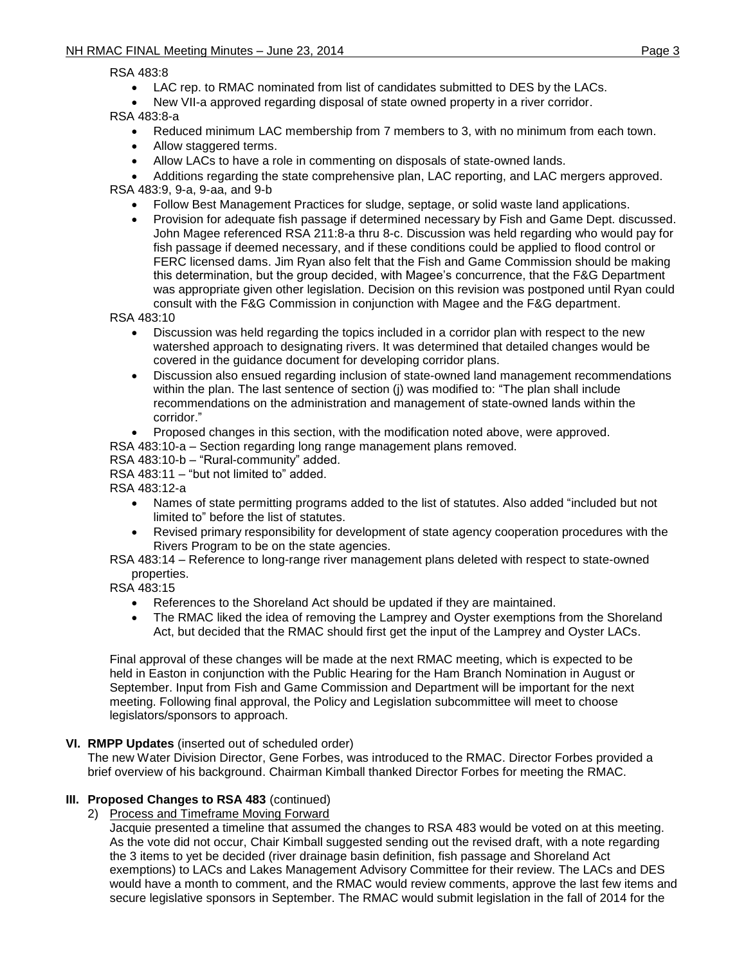RSA 483:8

- LAC rep. to RMAC nominated from list of candidates submitted to DES by the LACs.
- New VII-a approved regarding disposal of state owned property in a river corridor.

RSA 483:8-a

- Reduced minimum LAC membership from 7 members to 3, with no minimum from each town.
- Allow staggered terms.
- Allow LACs to have a role in commenting on disposals of state-owned lands.
- Additions regarding the state comprehensive plan, LAC reporting, and LAC mergers approved. RSA 483:9, 9-a, 9-aa, and 9-b
	- Follow Best Management Practices for sludge, septage, or solid waste land applications.
	- Provision for adequate fish passage if determined necessary by Fish and Game Dept. discussed. John Magee referenced RSA 211:8-a thru 8-c. Discussion was held regarding who would pay for fish passage if deemed necessary, and if these conditions could be applied to flood control or FERC licensed dams. Jim Ryan also felt that the Fish and Game Commission should be making this determination, but the group decided, with Magee's concurrence, that the F&G Department was appropriate given other legislation. Decision on this revision was postponed until Ryan could consult with the F&G Commission in conjunction with Magee and the F&G department.

RSA 483:10

- Discussion was held regarding the topics included in a corridor plan with respect to the new watershed approach to designating rivers. It was determined that detailed changes would be covered in the guidance document for developing corridor plans.
- Discussion also ensued regarding inclusion of state-owned land management recommendations within the plan. The last sentence of section (j) was modified to: "The plan shall include recommendations on the administration and management of state-owned lands within the corridor."
- Proposed changes in this section, with the modification noted above, were approved.
- RSA 483:10-a Section regarding long range management plans removed.
- RSA 483:10-b "Rural-community" added.

RSA 483:11 – "but not limited to" added.

RSA 483:12-a

- Names of state permitting programs added to the list of statutes. Also added "included but not limited to" before the list of statutes.
- Revised primary responsibility for development of state agency cooperation procedures with the Rivers Program to be on the state agencies.
- RSA 483:14 Reference to long-range river management plans deleted with respect to state-owned properties.

RSA 483:15

- References to the Shoreland Act should be updated if they are maintained.
- The RMAC liked the idea of removing the Lamprey and Oyster exemptions from the Shoreland Act, but decided that the RMAC should first get the input of the Lamprey and Oyster LACs.

Final approval of these changes will be made at the next RMAC meeting, which is expected to be held in Easton in conjunction with the Public Hearing for the Ham Branch Nomination in August or September. Input from Fish and Game Commission and Department will be important for the next meeting. Following final approval, the Policy and Legislation subcommittee will meet to choose legislators/sponsors to approach.

# **VI. RMPP Updates** (inserted out of scheduled order)

The new Water Division Director, Gene Forbes, was introduced to the RMAC. Director Forbes provided a brief overview of his background. Chairman Kimball thanked Director Forbes for meeting the RMAC.

# **III. Proposed Changes to RSA 483** (continued)

2) Process and Timeframe Moving Forward

Jacquie presented a timeline that assumed the changes to RSA 483 would be voted on at this meeting. As the vote did not occur, Chair Kimball suggested sending out the revised draft, with a note regarding the 3 items to yet be decided (river drainage basin definition, fish passage and Shoreland Act exemptions) to LACs and Lakes Management Advisory Committee for their review. The LACs and DES would have a month to comment, and the RMAC would review comments, approve the last few items and secure legislative sponsors in September. The RMAC would submit legislation in the fall of 2014 for the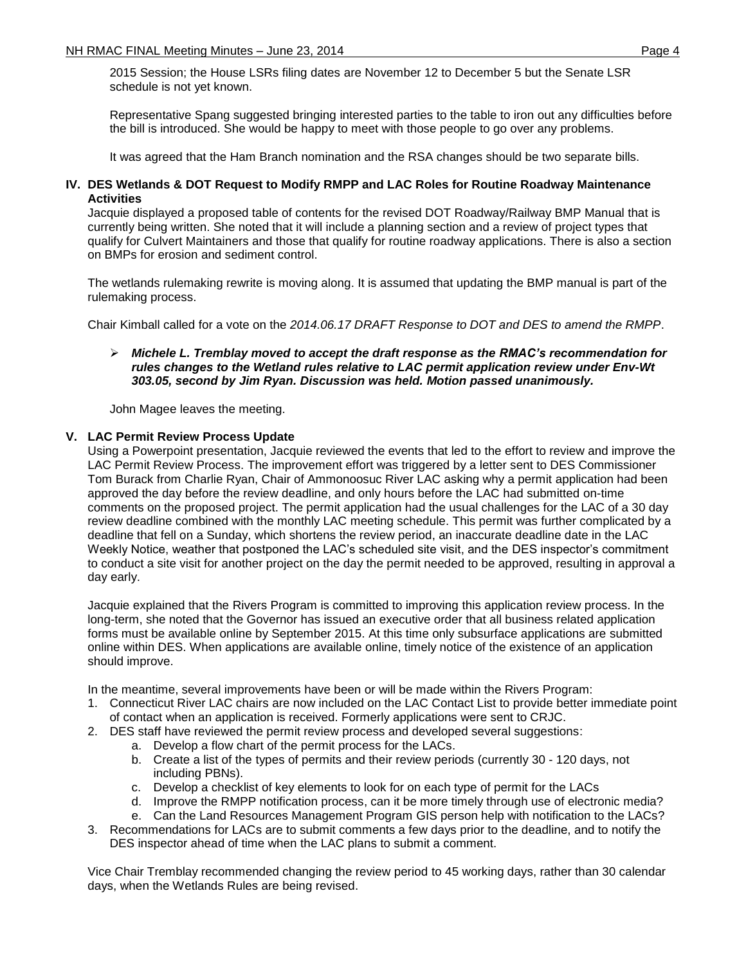2015 Session; the House LSRs filing dates are November 12 to December 5 but the Senate LSR schedule is not yet known.

Representative Spang suggested bringing interested parties to the table to iron out any difficulties before the bill is introduced. She would be happy to meet with those people to go over any problems.

It was agreed that the Ham Branch nomination and the RSA changes should be two separate bills.

### **IV. DES Wetlands & DOT Request to Modify RMPP and LAC Roles for Routine Roadway Maintenance Activities**

Jacquie displayed a proposed table of contents for the revised DOT Roadway/Railway BMP Manual that is currently being written. She noted that it will include a planning section and a review of project types that qualify for Culvert Maintainers and those that qualify for routine roadway applications. There is also a section on BMPs for erosion and sediment control.

The wetlands rulemaking rewrite is moving along. It is assumed that updating the BMP manual is part of the rulemaking process.

Chair Kimball called for a vote on the *[2014.06.17 DRAFT Response to DOT and DES to amend the RMPP](http://xml2.des.state.nh.us/blogs/rmac/wp-content/uploads/2014.06.17-DRAFT-Response-to-DOT-and-DES-to-amend-the-RMPP.pdf)*.

### *Michele L. Tremblay moved to accept the draft response as the RMAC's recommendation for rules changes to the Wetland rules relative to LAC permit application review under Env-Wt 303.05, second by Jim Ryan. Discussion was held. Motion passed unanimously.*

John Magee leaves the meeting.

### **V. LAC Permit Review Process Update**

Using a Powerpoint presentation, Jacquie reviewed the events that led to the effort to review and improve the LAC Permit Review Process. The improvement effort was triggered by a letter sent to DES Commissioner Tom Burack from Charlie Ryan, Chair of Ammonoosuc River LAC asking why a permit application had been approved the day before the review deadline, and only hours before the LAC had submitted on-time comments on the proposed project. The permit application had the usual challenges for the LAC of a 30 day review deadline combined with the monthly LAC meeting schedule. This permit was further complicated by a deadline that fell on a Sunday, which shortens the review period, an inaccurate deadline date in the LAC Weekly Notice, weather that postponed the LAC's scheduled site visit, and the DES inspector's commitment to conduct a site visit for another project on the day the permit needed to be approved, resulting in approval a day early.

Jacquie explained that the Rivers Program is committed to improving this application review process. In the long-term, she noted that the Governor has issued an executive order that all business related application forms must be available online by September 2015. At this time only subsurface applications are submitted online within DES. When applications are available online, timely notice of the existence of an application should improve.

In the meantime, several improvements have been or will be made within the Rivers Program:

- 1. Connecticut River LAC chairs are now included on the LAC Contact List to provide better immediate point of contact when an application is received. Formerly applications were sent to CRJC.
- 2. DES staff have reviewed the permit review process and developed several suggestions:
	- a. Develop a flow chart of the permit process for the LACs.
	- b. Create a list of the types of permits and their review periods (currently 30 120 days, not including PBNs).
	- c. Develop a checklist of key elements to look for on each type of permit for the LACs
	- d. Improve the RMPP notification process, can it be more timely through use of electronic media?
	- e. Can the Land Resources Management Program GIS person help with notification to the LACs?
- 3. Recommendations for LACs are to submit comments a few days prior to the deadline, and to notify the DES inspector ahead of time when the LAC plans to submit a comment.

Vice Chair Tremblay recommended changing the review period to 45 working days, rather than 30 calendar days, when the Wetlands Rules are being revised.